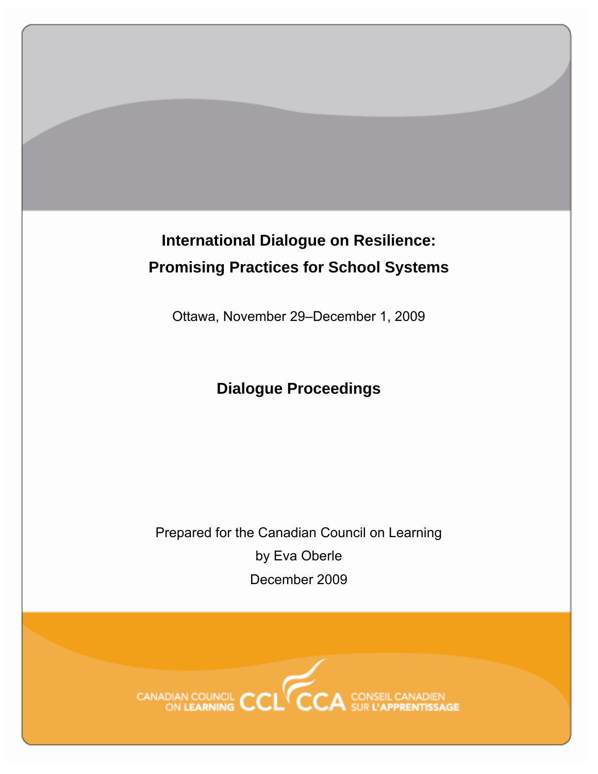# **International Dialogue on Resilience: Promising Practices for School Systems**

Ottawa, November 29–December 1, 2009

## **Dialogue Proceedings**

Prepared for the Canadian Council on Learning by Eva Oberle December 2009

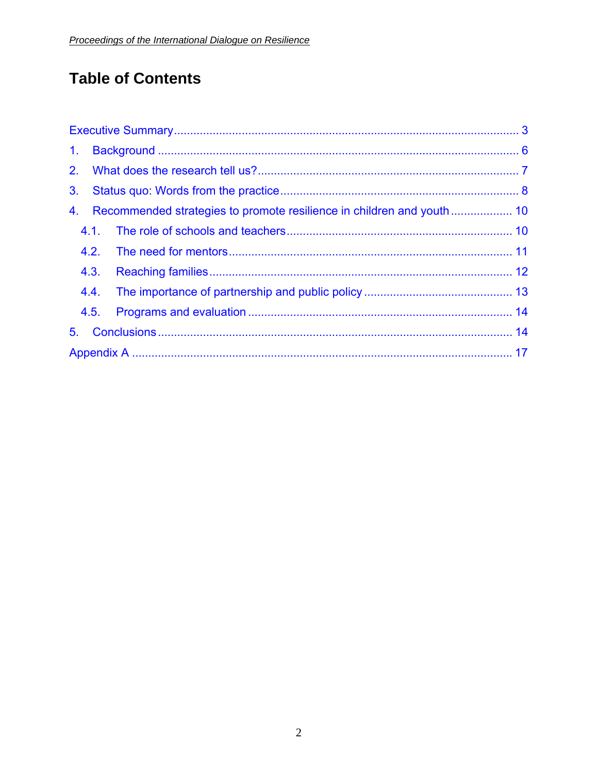## **Table of Contents**

| 1 <sub>1</sub> |      |  |  |  |  |
|----------------|------|--|--|--|--|
|                |      |  |  |  |  |
| 3 <sub>1</sub> |      |  |  |  |  |
| 4.             |      |  |  |  |  |
|                |      |  |  |  |  |
|                |      |  |  |  |  |
|                | 4.3. |  |  |  |  |
|                | 4.4. |  |  |  |  |
|                | 4.5. |  |  |  |  |
| 5.             |      |  |  |  |  |
|                |      |  |  |  |  |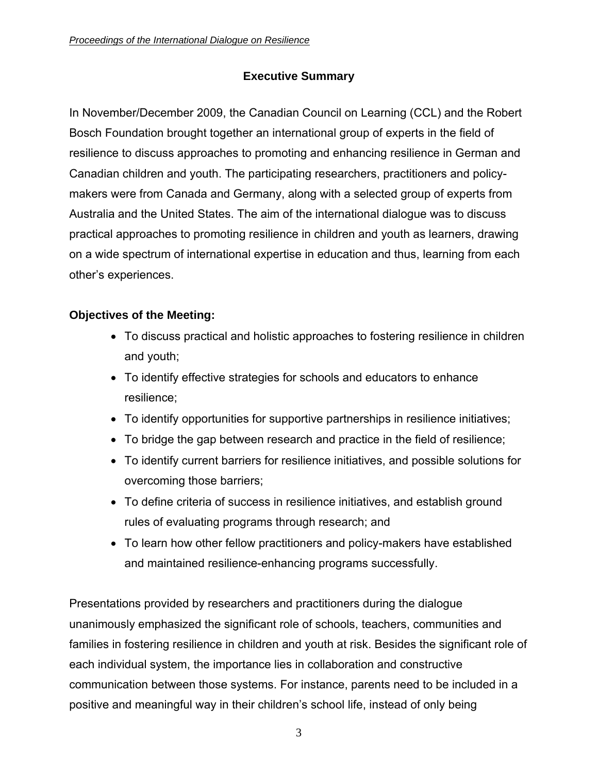#### **Executive Summary**

<span id="page-2-0"></span>In November/December 2009, the Canadian Council on Learning (CCL) and the Robert Bosch Foundation brought together an international group of experts in the field of resilience to discuss approaches to promoting and enhancing resilience in German and Canadian children and youth. The participating researchers, practitioners and policymakers were from Canada and Germany, along with a selected group of experts from Australia and the United States. The aim of the international dialogue was to discuss practical approaches to promoting resilience in children and youth as learners, drawing on a wide spectrum of international expertise in education and thus, learning from each other's experiences.

#### **Objectives of the Meeting:**

- To discuss practical and holistic approaches to fostering resilience in children and youth;
- To identify effective strategies for schools and educators to enhance resilience;
- To identify opportunities for supportive partnerships in resilience initiatives;
- To bridge the gap between research and practice in the field of resilience;
- To identify current barriers for resilience initiatives, and possible solutions for overcoming those barriers;
- To define criteria of success in resilience initiatives, and establish ground rules of evaluating programs through research; and
- To learn how other fellow practitioners and policy-makers have established and maintained resilience-enhancing programs successfully.

Presentations provided by researchers and practitioners during the dialogue unanimously emphasized the significant role of schools, teachers, communities and families in fostering resilience in children and youth at risk. Besides the significant role of each individual system, the importance lies in collaboration and constructive communication between those systems. For instance, parents need to be included in a positive and meaningful way in their children's school life, instead of only being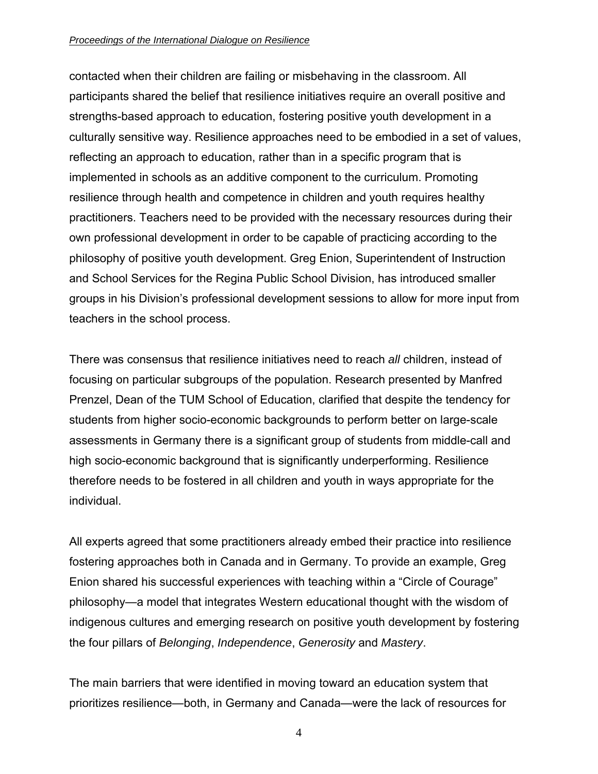#### *Proceedings of the International Dialogue on Resilience*

contacted when their children are failing or misbehaving in the classroom. All participants shared the belief that resilience initiatives require an overall positive and strengths-based approach to education, fostering positive youth development in a culturally sensitive way. Resilience approaches need to be embodied in a set of values, reflecting an approach to education, rather than in a specific program that is implemented in schools as an additive component to the curriculum. Promoting resilience through health and competence in children and youth requires healthy practitioners. Teachers need to be provided with the necessary resources during their own professional development in order to be capable of practicing according to the philosophy of positive youth development. Greg Enion, Superintendent of Instruction and School Services for the Regina Public School Division, has introduced smaller groups in his Division's professional development sessions to allow for more input from teachers in the school process.

There was consensus that resilience initiatives need to reach *all* children, instead of focusing on particular subgroups of the population. Research presented by Manfred Prenzel, Dean of the TUM School of Education, clarified that despite the tendency for students from higher socio-economic backgrounds to perform better on large-scale assessments in Germany there is a significant group of students from middle-call and high socio-economic background that is significantly underperforming. Resilience therefore needs to be fostered in all children and youth in ways appropriate for the individual.

All experts agreed that some practitioners already embed their practice into resilience fostering approaches both in Canada and in Germany. To provide an example, Greg Enion shared his successful experiences with teaching within a "Circle of Courage" philosophy—a model that integrates Western educational thought with the wisdom of indigenous cultures and emerging research on positive youth development by fostering the four pillars of *Belonging*, *Independence*, *Generosity* and *Mastery*.

The main barriers that were identified in moving toward an education system that prioritizes resilience—both, in Germany and Canada—were the lack of resources for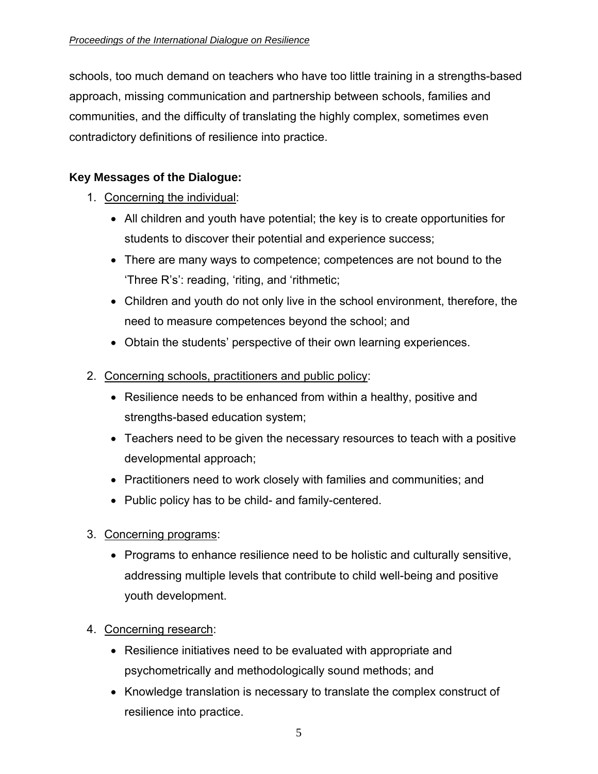schools, too much demand on teachers who have too little training in a strengths-based approach, missing communication and partnership between schools, families and communities, and the difficulty of translating the highly complex, sometimes even contradictory definitions of resilience into practice.

### **Key Messages of the Dialogue:**

- 1. Concerning the individual:
	- All children and youth have potential; the key is to create opportunities for students to discover their potential and experience success;
	- There are many ways to competence; competences are not bound to the 'Three R's': reading, 'riting, and 'rithmetic;
	- Children and youth do not only live in the school environment, therefore, the need to measure competences beyond the school; and
	- Obtain the students' perspective of their own learning experiences.
- 2. Concerning schools, practitioners and public policy:
	- Resilience needs to be enhanced from within a healthy, positive and strengths-based education system;
	- Teachers need to be given the necessary resources to teach with a positive developmental approach;
	- Practitioners need to work closely with families and communities; and
	- Public policy has to be child- and family-centered.
- 3. Concerning programs:
	- Programs to enhance resilience need to be holistic and culturally sensitive, addressing multiple levels that contribute to child well-being and positive youth development.
- 4. Concerning research:
	- Resilience initiatives need to be evaluated with appropriate and psychometrically and methodologically sound methods; and
	- Knowledge translation is necessary to translate the complex construct of resilience into practice.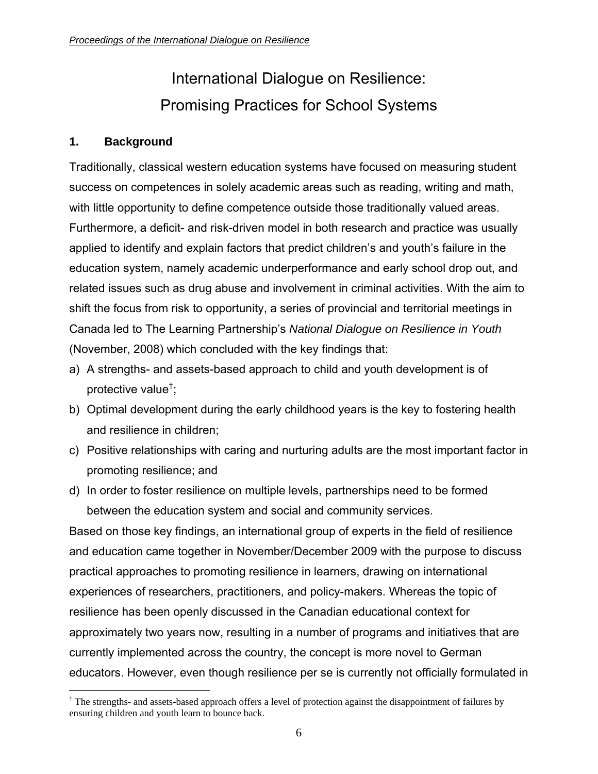# International Dialogue on Resilience: Promising Practices for School Systems

#### <span id="page-5-0"></span>**1. Background**

Traditionally, classical western education systems have focused on measuring student success on competences in solely academic areas such as reading, writing and math, with little opportunity to define competence outside those traditionally valued areas. Furthermore, a deficit- and risk-driven model in both research and practice was usually applied to identify and explain factors that predict children's and youth's failure in the education system, namely academic underperformance and early school drop out, and related issues such as drug abuse and involvement in criminal activities. With the aim to shift the focus from risk to opportunity, a series of provincial and territorial meetings in Canada led to The Learning Partnership's *National Dialogue on Resilience in Youth* (November, 2008) which concluded with the key findings that:

- a) A strengths- and assets-based approach to child and youth development is of protective value† ;
- b) Optimal development during the early childhood years is the key to fostering health and resilience in children;
- c) Positive relationships with caring and nurturing adults are the most important factor in promoting resilience; and
- d) In order to foster resilience on multiple levels, partnerships need to be formed between the education system and social and community services.

Based on those key findings, an international group of experts in the field of resilience and education came together in November/December 2009 with the purpose to discuss practical approaches to promoting resilience in learners, drawing on international experiences of researchers, practitioners, and policy-makers. Whereas the topic of resilience has been openly discussed in the Canadian educational context for approximately two years now, resulting in a number of programs and initiatives that are currently implemented across the country, the concept is more novel to German educators. However, even though resilience per se is currently not officially formulated in

 $\overline{a}$ † The strengths- and assets-based approach offers a level of protection against the disappointment of failures by ensuring children and youth learn to bounce back.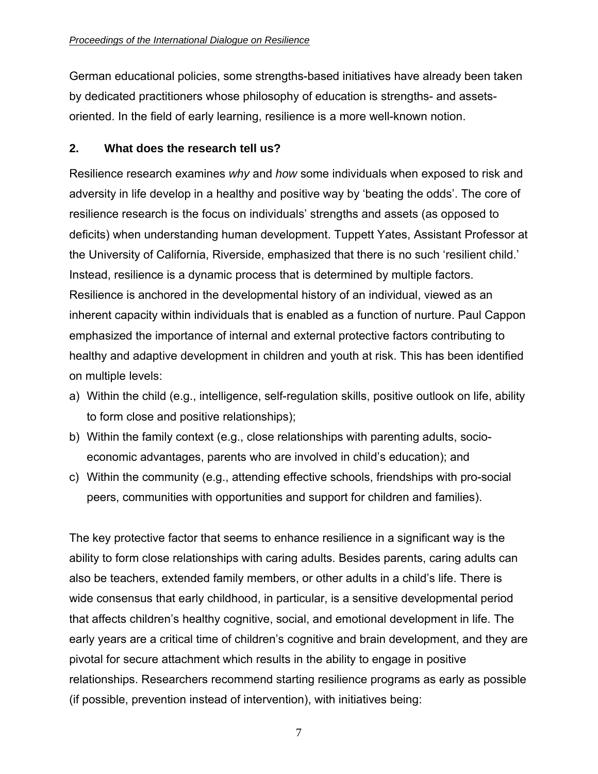<span id="page-6-0"></span>German educational policies, some strengths-based initiatives have already been taken by dedicated practitioners whose philosophy of education is strengths- and assetsoriented. In the field of early learning, resilience is a more well-known notion.

#### **2. What does the research tell us?**

Resilience research examines *why* and *how* some individuals when exposed to risk and adversity in life develop in a healthy and positive way by 'beating the odds'. The core of resilience research is the focus on individuals' strengths and assets (as opposed to deficits) when understanding human development. Tuppett Yates, Assistant Professor at the University of California, Riverside, emphasized that there is no such 'resilient child.' Instead, resilience is a dynamic process that is determined by multiple factors. Resilience is anchored in the developmental history of an individual, viewed as an inherent capacity within individuals that is enabled as a function of nurture. Paul Cappon emphasized the importance of internal and external protective factors contributing to healthy and adaptive development in children and youth at risk. This has been identified on multiple levels:

- a) Within the child (e.g., intelligence, self-regulation skills, positive outlook on life, ability to form close and positive relationships);
- b) Within the family context (e.g., close relationships with parenting adults, socioeconomic advantages, parents who are involved in child's education); and
- c) Within the community (e.g., attending effective schools, friendships with pro-social peers, communities with opportunities and support for children and families).

The key protective factor that seems to enhance resilience in a significant way is the ability to form close relationships with caring adults. Besides parents, caring adults can also be teachers, extended family members, or other adults in a child's life. There is wide consensus that early childhood, in particular, is a sensitive developmental period that affects children's healthy cognitive, social, and emotional development in life. The early years are a critical time of children's cognitive and brain development, and they are pivotal for secure attachment which results in the ability to engage in positive relationships. Researchers recommend starting resilience programs as early as possible (if possible, prevention instead of intervention), with initiatives being: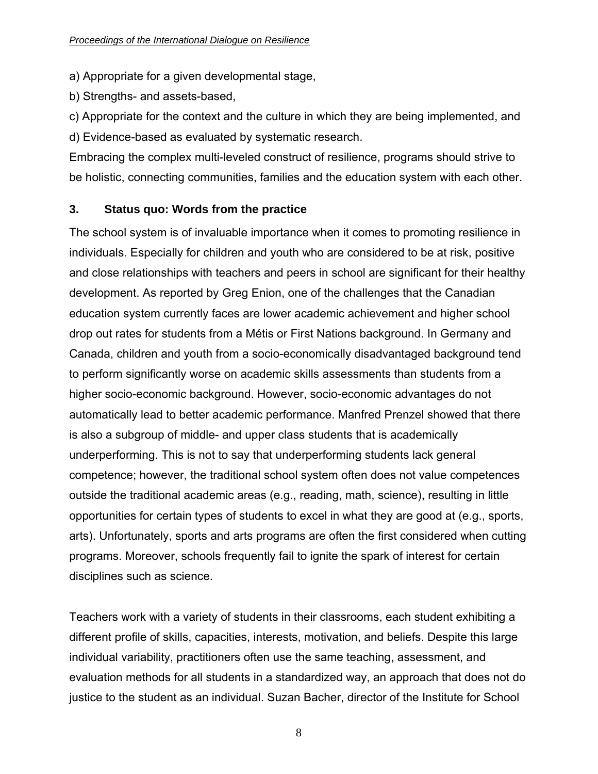<span id="page-7-0"></span>a) Appropriate for a given developmental stage,

b) Strengths- and assets-based,

c) Appropriate for the context and the culture in which they are being implemented, and d) Evidence-based as evaluated by systematic research.

Embracing the complex multi-leveled construct of resilience, programs should strive to be holistic, connecting communities, families and the education system with each other.

#### **3. Status quo: Words from the practice**

The school system is of invaluable importance when it comes to promoting resilience in individuals. Especially for children and youth who are considered to be at risk, positive and close relationships with teachers and peers in school are significant for their healthy development. As reported by Greg Enion, one of the challenges that the Canadian education system currently faces are lower academic achievement and higher school drop out rates for students from a Métis or First Nations background. In Germany and Canada, children and youth from a socio-economically disadvantaged background tend to perform significantly worse on academic skills assessments than students from a higher socio-economic background. However, socio-economic advantages do not automatically lead to better academic performance. Manfred Prenzel showed that there is also a subgroup of middle- and upper class students that is academically underperforming. This is not to say that underperforming students lack general competence; however, the traditional school system often does not value competences outside the traditional academic areas (e.g., reading, math, science), resulting in little opportunities for certain types of students to excel in what they are good at (e.g., sports, arts). Unfortunately, sports and arts programs are often the first considered when cutting programs. Moreover, schools frequently fail to ignite the spark of interest for certain disciplines such as science.

Teachers work with a variety of students in their classrooms, each student exhibiting a different profile of skills, capacities, interests, motivation, and beliefs. Despite this large individual variability, practitioners often use the same teaching, assessment, and evaluation methods for all students in a standardized way, an approach that does not do justice to the student as an individual. Suzan Bacher, director of the Institute for School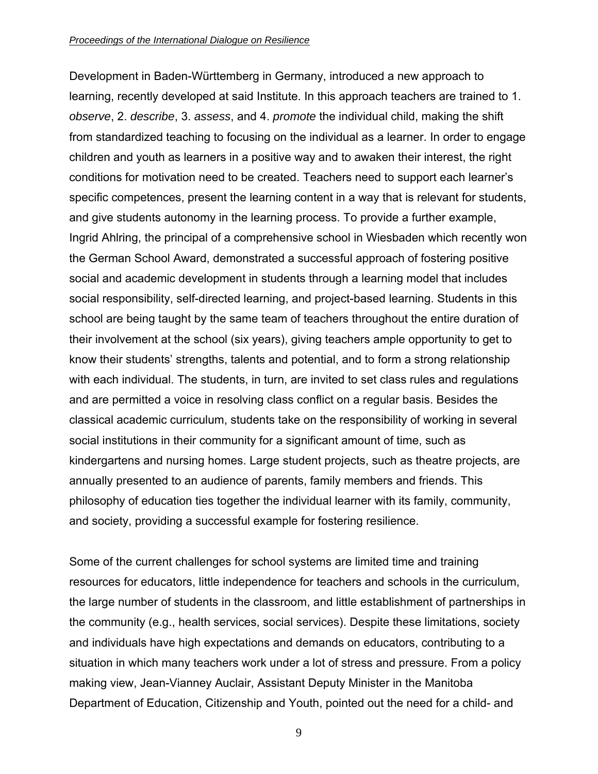Development in Baden-Württemberg in Germany, introduced a new approach to learning, recently developed at said Institute. In this approach teachers are trained to 1. *observe*, 2. *describe*, 3. *assess*, and 4. *promote* the individual child, making the shift from standardized teaching to focusing on the individual as a learner. In order to engage children and youth as learners in a positive way and to awaken their interest, the right conditions for motivation need to be created. Teachers need to support each learner's specific competences, present the learning content in a way that is relevant for students, and give students autonomy in the learning process. To provide a further example, Ingrid Ahlring, the principal of a comprehensive school in Wiesbaden which recently won the German School Award, demonstrated a successful approach of fostering positive social and academic development in students through a learning model that includes social responsibility, self-directed learning, and project-based learning. Students in this school are being taught by the same team of teachers throughout the entire duration of their involvement at the school (six years), giving teachers ample opportunity to get to know their students' strengths, talents and potential, and to form a strong relationship with each individual. The students, in turn, are invited to set class rules and regulations and are permitted a voice in resolving class conflict on a regular basis. Besides the classical academic curriculum, students take on the responsibility of working in several social institutions in their community for a significant amount of time, such as kindergartens and nursing homes. Large student projects, such as theatre projects, are annually presented to an audience of parents, family members and friends. This philosophy of education ties together the individual learner with its family, community, and society, providing a successful example for fostering resilience.

Some of the current challenges for school systems are limited time and training resources for educators, little independence for teachers and schools in the curriculum, the large number of students in the classroom, and little establishment of partnerships in the community (e.g., health services, social services). Despite these limitations, society and individuals have high expectations and demands on educators, contributing to a situation in which many teachers work under a lot of stress and pressure. From a policy making view, Jean-Vianney Auclair, Assistant Deputy Minister in the Manitoba Department of Education, Citizenship and Youth, pointed out the need for a child- and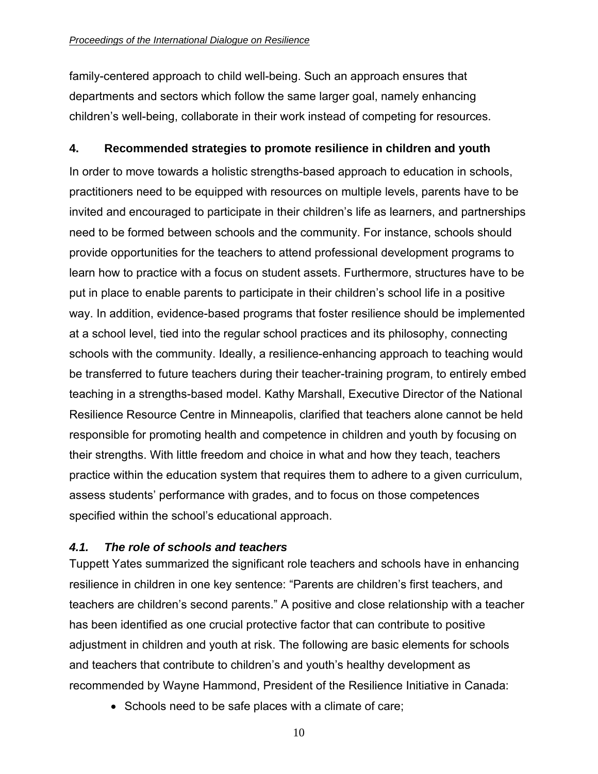<span id="page-9-0"></span>family-centered approach to child well-being. Such an approach ensures that departments and sectors which follow the same larger goal, namely enhancing children's well-being, collaborate in their work instead of competing for resources.

#### **4. Recommended strategies to promote resilience in children and youth**

In order to move towards a holistic strengths-based approach to education in schools, practitioners need to be equipped with resources on multiple levels, parents have to be invited and encouraged to participate in their children's life as learners, and partnerships need to be formed between schools and the community. For instance, schools should provide opportunities for the teachers to attend professional development programs to learn how to practice with a focus on student assets. Furthermore, structures have to be put in place to enable parents to participate in their children's school life in a positive way. In addition, evidence-based programs that foster resilience should be implemented at a school level, tied into the regular school practices and its philosophy, connecting schools with the community. Ideally, a resilience-enhancing approach to teaching would be transferred to future teachers during their teacher-training program, to entirely embed teaching in a strengths-based model. Kathy Marshall, Executive Director of the National Resilience Resource Centre in Minneapolis, clarified that teachers alone cannot be held responsible for promoting health and competence in children and youth by focusing on their strengths. With little freedom and choice in what and how they teach, teachers practice within the education system that requires them to adhere to a given curriculum, assess students' performance with grades, and to focus on those competences specified within the school's educational approach.

#### *4.1. The role of schools and teachers*

Tuppett Yates summarized the significant role teachers and schools have in enhancing resilience in children in one key sentence: "Parents are children's first teachers, and teachers are children's second parents." A positive and close relationship with a teacher has been identified as one crucial protective factor that can contribute to positive adjustment in children and youth at risk. The following are basic elements for schools and teachers that contribute to children's and youth's healthy development as recommended by Wayne Hammond, President of the Resilience Initiative in Canada:

• Schools need to be safe places with a climate of care;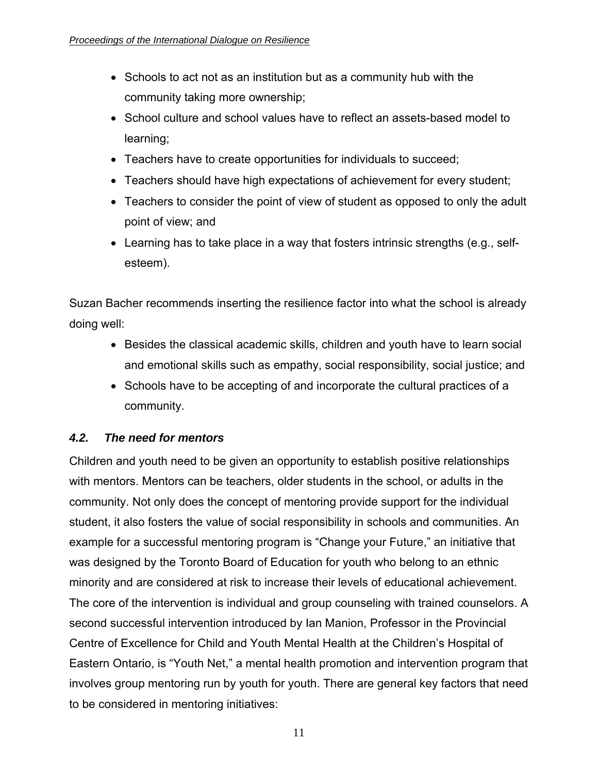- <span id="page-10-0"></span>• Schools to act not as an institution but as a community hub with the community taking more ownership;
- School culture and school values have to reflect an assets-based model to learning;
- Teachers have to create opportunities for individuals to succeed;
- Teachers should have high expectations of achievement for every student;
- Teachers to consider the point of view of student as opposed to only the adult point of view; and
- Learning has to take place in a way that fosters intrinsic strengths (e.g., selfesteem).

Suzan Bacher recommends inserting the resilience factor into what the school is already doing well:

- Besides the classical academic skills, children and youth have to learn social and emotional skills such as empathy, social responsibility, social justice; and
- Schools have to be accepting of and incorporate the cultural practices of a community.

#### *4.2. The need for mentors*

Children and youth need to be given an opportunity to establish positive relationships with mentors. Mentors can be teachers, older students in the school, or adults in the community. Not only does the concept of mentoring provide support for the individual student, it also fosters the value of social responsibility in schools and communities. An example for a successful mentoring program is "Change your Future," an initiative that was designed by the Toronto Board of Education for youth who belong to an ethnic minority and are considered at risk to increase their levels of educational achievement. The core of the intervention is individual and group counseling with trained counselors. A second successful intervention introduced by Ian Manion, Professor in the Provincial Centre of Excellence for Child and Youth Mental Health at the Children's Hospital of Eastern Ontario, is "Youth Net," a mental health promotion and intervention program that involves group mentoring run by youth for youth. There are general key factors that need to be considered in mentoring initiatives: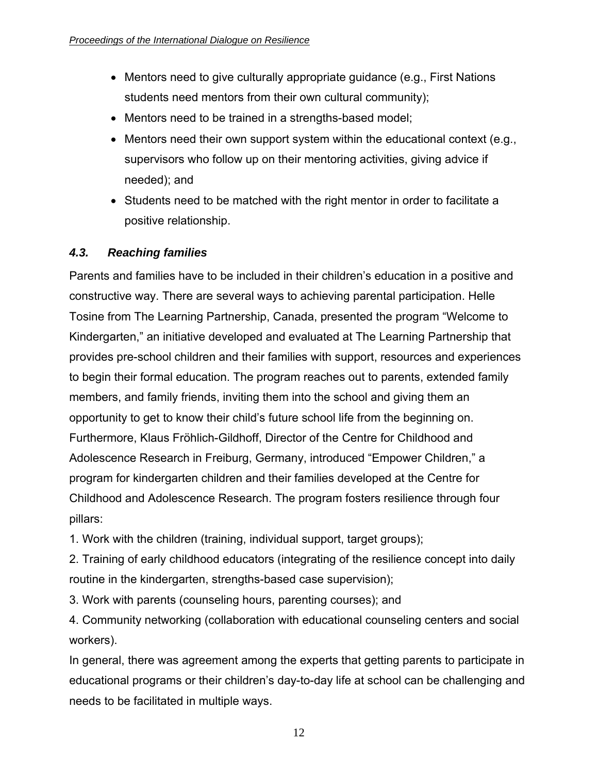- <span id="page-11-0"></span>• Mentors need to give culturally appropriate guidance (e.g., First Nations students need mentors from their own cultural community);
- Mentors need to be trained in a strengths-based model;
- Mentors need their own support system within the educational context (e.g., supervisors who follow up on their mentoring activities, giving advice if needed); and
- Students need to be matched with the right mentor in order to facilitate a positive relationship.

#### *4.3. Reaching families*

Parents and families have to be included in their children's education in a positive and constructive way. There are several ways to achieving parental participation. Helle Tosine from The Learning Partnership, Canada, presented the program "Welcome to Kindergarten," an initiative developed and evaluated at The Learning Partnership that provides pre-school children and their families with support, resources and experiences to begin their formal education. The program reaches out to parents, extended family members, and family friends, inviting them into the school and giving them an opportunity to get to know their child's future school life from the beginning on. Furthermore, Klaus Fröhlich-Gildhoff, Director of the Centre for Childhood and Adolescence Research in Freiburg, Germany, introduced "Empower Children," a program for kindergarten children and their families developed at the Centre for Childhood and Adolescence Research. The program fosters resilience through four pillars:

1. Work with the children (training, individual support, target groups);

2. Training of early childhood educators (integrating of the resilience concept into daily routine in the kindergarten, strengths-based case supervision);

3. Work with parents (counseling hours, parenting courses); and

4. Community networking (collaboration with educational counseling centers and social workers).

In general, there was agreement among the experts that getting parents to participate in educational programs or their children's day-to-day life at school can be challenging and needs to be facilitated in multiple ways.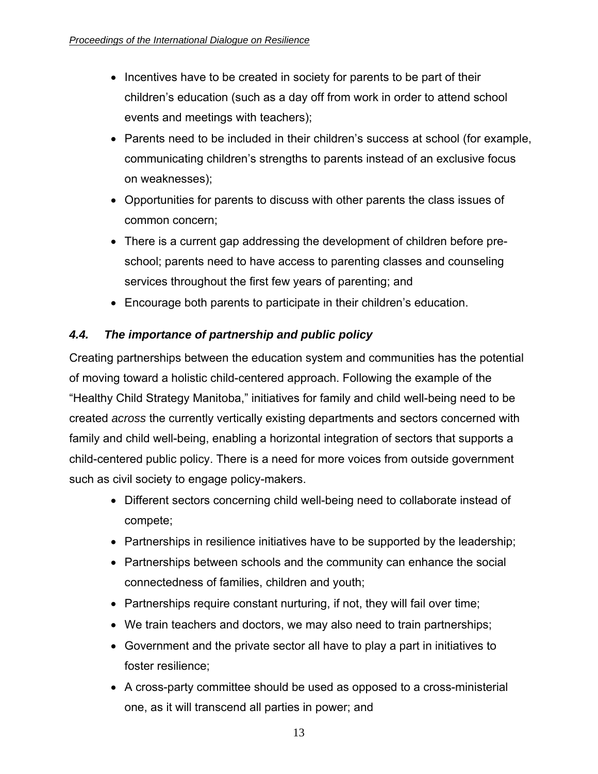- <span id="page-12-0"></span>• Incentives have to be created in society for parents to be part of their children's education (such as a day off from work in order to attend school events and meetings with teachers);
- Parents need to be included in their children's success at school (for example, communicating children's strengths to parents instead of an exclusive focus on weaknesses);
- Opportunities for parents to discuss with other parents the class issues of common concern;
- There is a current gap addressing the development of children before preschool; parents need to have access to parenting classes and counseling services throughout the first few years of parenting; and
- Encourage both parents to participate in their children's education.

### *4.4. The importance of partnership and public policy*

Creating partnerships between the education system and communities has the potential of moving toward a holistic child-centered approach. Following the example of the "Healthy Child Strategy Manitoba," initiatives for family and child well-being need to be created *across* the currently vertically existing departments and sectors concerned with family and child well-being, enabling a horizontal integration of sectors that supports a child-centered public policy. There is a need for more voices from outside government such as civil society to engage policy-makers.

- Different sectors concerning child well-being need to collaborate instead of compete;
- Partnerships in resilience initiatives have to be supported by the leadership;
- Partnerships between schools and the community can enhance the social connectedness of families, children and youth;
- Partnerships require constant nurturing, if not, they will fail over time;
- We train teachers and doctors, we may also need to train partnerships;
- Government and the private sector all have to play a part in initiatives to foster resilience;
- A cross-party committee should be used as opposed to a cross-ministerial one, as it will transcend all parties in power; and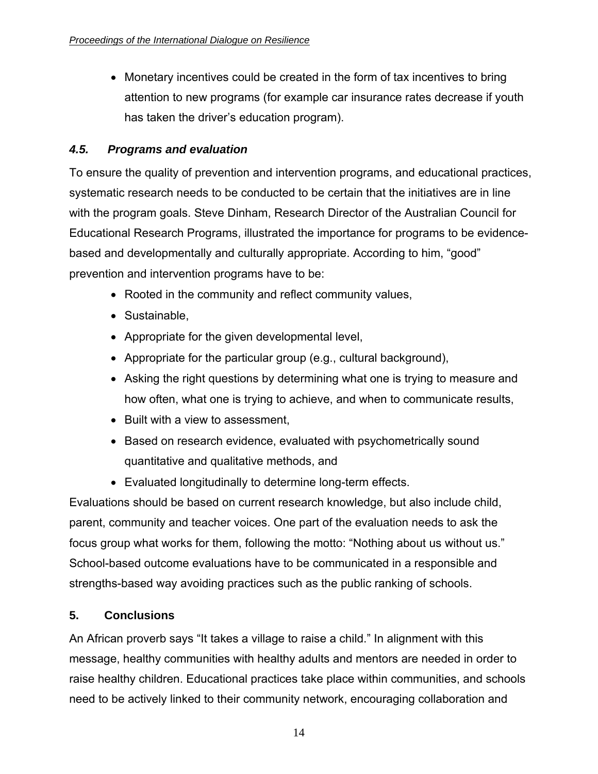<span id="page-13-0"></span>• Monetary incentives could be created in the form of tax incentives to bring attention to new programs (for example car insurance rates decrease if youth has taken the driver's education program).

#### *4.5. Programs and evaluation*

To ensure the quality of prevention and intervention programs, and educational practices, systematic research needs to be conducted to be certain that the initiatives are in line with the program goals. Steve Dinham, Research Director of the Australian Council for Educational Research Programs, illustrated the importance for programs to be evidencebased and developmentally and culturally appropriate. According to him, "good" prevention and intervention programs have to be:

- Rooted in the community and reflect community values,
- Sustainable,
- Appropriate for the given developmental level,
- Appropriate for the particular group (e.g., cultural background),
- Asking the right questions by determining what one is trying to measure and how often, what one is trying to achieve, and when to communicate results,
- Built with a view to assessment,
- Based on research evidence, evaluated with psychometrically sound quantitative and qualitative methods, and
- Evaluated longitudinally to determine long-term effects.

Evaluations should be based on current research knowledge, but also include child, parent, community and teacher voices. One part of the evaluation needs to ask the focus group what works for them, following the motto: "Nothing about us without us." School-based outcome evaluations have to be communicated in a responsible and strengths-based way avoiding practices such as the public ranking of schools.

#### **5. Conclusions**

An African proverb says "It takes a village to raise a child." In alignment with this message, healthy communities with healthy adults and mentors are needed in order to raise healthy children. Educational practices take place within communities, and schools need to be actively linked to their community network, encouraging collaboration and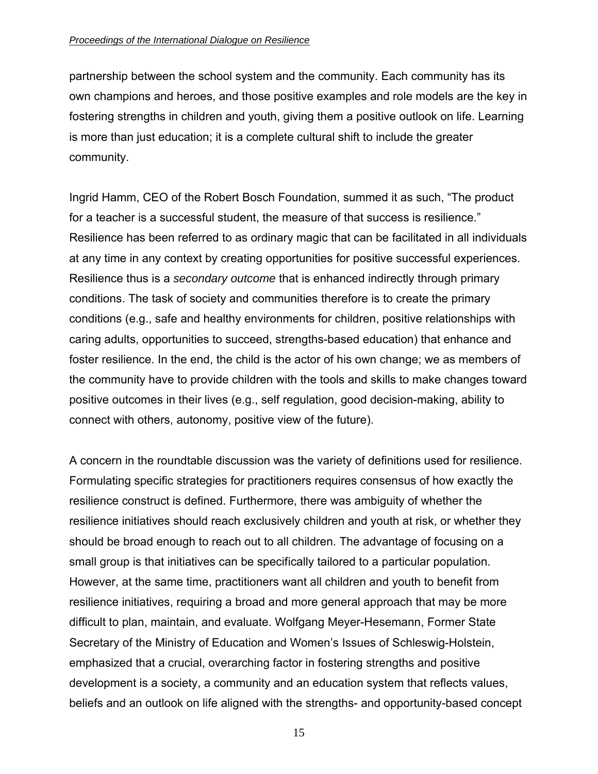#### *Proceedings of the International Dialogue on Resilience*

partnership between the school system and the community. Each community has its own champions and heroes, and those positive examples and role models are the key in fostering strengths in children and youth, giving them a positive outlook on life. Learning is more than just education; it is a complete cultural shift to include the greater community.

Ingrid Hamm, CEO of the Robert Bosch Foundation, summed it as such, "The product for a teacher is a successful student, the measure of that success is resilience." Resilience has been referred to as ordinary magic that can be facilitated in all individuals at any time in any context by creating opportunities for positive successful experiences. Resilience thus is a *secondary outcome* that is enhanced indirectly through primary conditions. The task of society and communities therefore is to create the primary conditions (e.g., safe and healthy environments for children, positive relationships with caring adults, opportunities to succeed, strengths-based education) that enhance and foster resilience. In the end, the child is the actor of his own change; we as members of the community have to provide children with the tools and skills to make changes toward positive outcomes in their lives (e.g., self regulation, good decision-making, ability to connect with others, autonomy, positive view of the future).

A concern in the roundtable discussion was the variety of definitions used for resilience. Formulating specific strategies for practitioners requires consensus of how exactly the resilience construct is defined. Furthermore, there was ambiguity of whether the resilience initiatives should reach exclusively children and youth at risk, or whether they should be broad enough to reach out to all children. The advantage of focusing on a small group is that initiatives can be specifically tailored to a particular population. However, at the same time, practitioners want all children and youth to benefit from resilience initiatives, requiring a broad and more general approach that may be more difficult to plan, maintain, and evaluate. Wolfgang Meyer-Hesemann, Former State Secretary of the Ministry of Education and Women's Issues of Schleswig-Holstein, emphasized that a crucial, overarching factor in fostering strengths and positive development is a society, a community and an education system that reflects values, beliefs and an outlook on life aligned with the strengths- and opportunity-based concept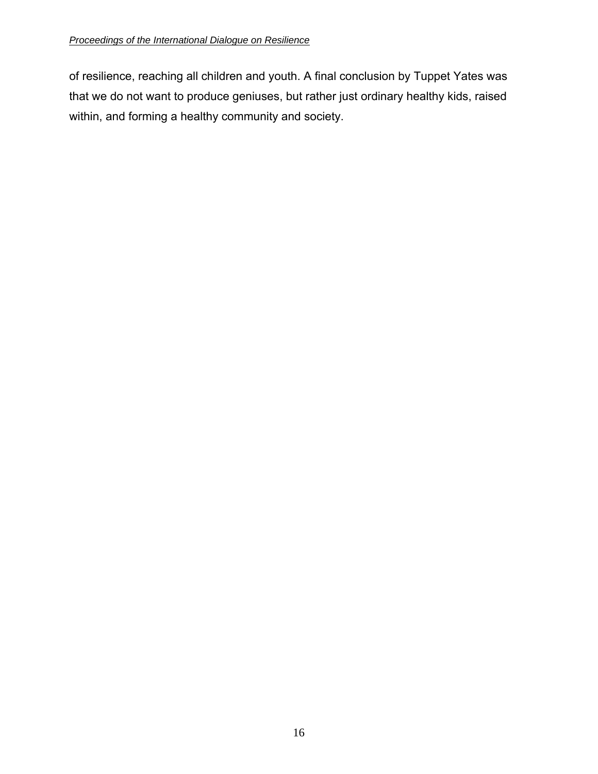of resilience, reaching all children and youth. A final conclusion by Tuppet Yates was that we do not want to produce geniuses, but rather just ordinary healthy kids, raised within, and forming a healthy community and society.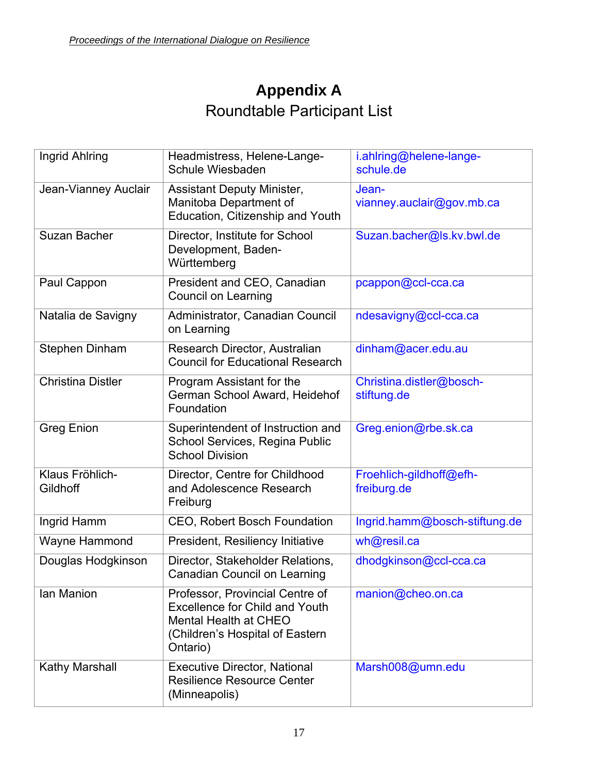## **Appendix A**  Roundtable Participant List

<span id="page-16-0"></span>

| Ingrid Ahlring              | Headmistress, Helene-Lange-<br>Schule Wiesbaden                                                                                                  | i.ahlring@helene-lange-<br>schule.de    |
|-----------------------------|--------------------------------------------------------------------------------------------------------------------------------------------------|-----------------------------------------|
| Jean-Vianney Auclair        | <b>Assistant Deputy Minister,</b><br>Manitoba Department of<br>Education, Citizenship and Youth                                                  | Jean-<br>vianney.auclair@gov.mb.ca      |
| <b>Suzan Bacher</b>         | Director, Institute for School<br>Development, Baden-<br>Württemberg                                                                             | Suzan.bacher@ls.kv.bwl.de               |
| Paul Cappon                 | President and CEO, Canadian<br><b>Council on Learning</b>                                                                                        | pcappon@ccl-cca.ca                      |
| Natalia de Savigny          | Administrator, Canadian Council<br>on Learning                                                                                                   | ndesavigny@ccl-cca.ca                   |
| <b>Stephen Dinham</b>       | Research Director, Australian<br><b>Council for Educational Research</b>                                                                         | dinham@acer.edu.au                      |
| <b>Christina Distler</b>    | Program Assistant for the<br>German School Award, Heidehof<br>Foundation                                                                         | Christina.distler@bosch-<br>stiftung.de |
| <b>Greg Enion</b>           | Superintendent of Instruction and<br>School Services, Regina Public<br><b>School Division</b>                                                    | Greg.enion@rbe.sk.ca                    |
| Klaus Fröhlich-<br>Gildhoff | Director, Centre for Childhood<br>and Adolescence Research<br>Freiburg                                                                           | Froehlich-gildhoff@efh-<br>freiburg.de  |
| Ingrid Hamm                 | <b>CEO, Robert Bosch Foundation</b>                                                                                                              | Ingrid.hamm@bosch-stiftung.de           |
| <b>Wayne Hammond</b>        | President, Resiliency Initiative                                                                                                                 | wh@resil.ca                             |
| Douglas Hodgkinson          | Director, Stakeholder Relations,<br><b>Canadian Council on Learning</b>                                                                          | dhodgkinson@ccl-cca.ca                  |
| Ian Manion                  | Professor, Provincial Centre of<br><b>Excellence for Child and Youth</b><br>Mental Health at CHEO<br>(Children's Hospital of Eastern<br>Ontario) | manion@cheo.on.ca                       |
| Kathy Marshall              | <b>Executive Director, National</b><br><b>Resilience Resource Center</b><br>(Minneapolis)                                                        | Marsh008@umn.edu                        |